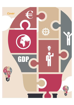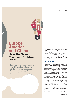

# **Europe, America and China Have the Same Economic Problem**

By **Edmund Phelps**

Each of the world's major economies – the EU, America and China – are slipping into its own "new normal". While they offer an escape from poverty, all of them are, to varying degrees, lacking in human flourishing.

Each of the world's major economies – the European, the American and the Chinese economy – is slipping into its own "new normal" and each pean, the American and the Chinese economy – one is unhappy in its own way. These economies offer an escape from poverty. But Europe is seriously lacking in self-support. America is woefully lacking in prosperity. And all of them are, to varying degrees, lacking in human flourishing.

## **The European Union**

Measured by its gross domestic product, the economy of the European Union is very large – larger than American and Chinese economies. Its decline acts to reduce wages in the rest of the world. More important, Europe was – for more than a century – a major source of new products and a key source of advances in science and the arts. We will all be the poorer if Europe goes on failing to recapture its brilliant past.

In the past two decades it has become apparent that the European economy is in very poor condition. It is common ground that, now, in 2015, the aggregate output – the Gross Domestic Product – of the European economy is far below the previous trend path – below the trend line we might fit to historical data up to 1995. Yet European economists believe with few exceptions that nothing is radically wrong with the European economy – nothing that would require structural rehabilitation extending to the entrepreneurial heart and innovative brain of the economy. Nevertheless it is interesting to note what these economists, observing that the economy is not well, are diagnosing and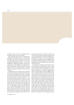*Cover* 

prescribing. And we may learn something that may sometime be useful in our own economies.

Many economists speak of a loss of competitiveness, particularly in the south of Europe – in Greece, Italy and Spain. They imply that output is down, relative to trend, largely because wages got out of line with productivity, forcing firms to cut back  $-$  a case of wage misalignment. Taking this perspective, German economists argue for wage deflation in the affected economies; the Keynesian economists argue for monetary stimulus in order to raise prices (relative to wages) and state investment in infrastructure to create some more jobs.

The background to the adoption of this perspective is the sharp productivity slowdown that hit Germany, Italy, France and Spain around 1998; and Britain around 2005. Although wage rates have remained in line with productivity in Germany and Britain – and employment has held up pretty well there – wages got out of line with productivity in Italy, Spain and Greece during the boom years of the late 1990s, and in the early 2000s wages got ahead in France and farther ahead in Greece. These wage misalignments may very well explain the drop in the employment of men – relative to the population of men – from the period 1990-1995 to the period 2010-2012 in Italy and Spain as well as Greece. But, in Italy, France and most conspicuously in Germany, we see a bigger drop of the employment-to-population ratio from the 1970s

(in Germany and Italy) or the 1980s (in France) to the 1990s. Were those drops in employment also the result of wage misalignments? Is every fall of employment a market failure? Of course not! No one would believe it is mainly an accumulation of such misalignments that has brought declining employment and thus output not keeping up with its trend path. There must be some other forces at work.

Economists have staged a fierce debate over two warring schools. In the classical view, which I myself have expounded (in the Financial Times), it is to some extent a contraction of labor supply that has led to a decline of employment – and thus to lagging output. And it is largely outbreaks of fiscal profligacy in Europe, most pronounced from the mid-1990s to the mid-2000s, that led to that contraction: In Greece, Italy and, to a lesser extent, France, there were tax cuts and spending increases, which added to households' estimates of their private wealth in relation to their wage income, and there were expansions of entitlements to future benefits, which added to people's estimates of their social wealth relative to their income. (The European Union also donated lavish "structural funds" to Spain and Greece, which further increased people's wealth relative to their productivity. Brussels made some of them rich. Even public sector wage rates rose to the sky in Greece.) Bloated with wealth, many employees must have lost some of their incentives to perform well, so companies' costs of production went up;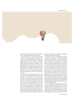and many households cut back their labor force participation – delaying employment or retiring sooner.

GDP

In the Keynesian view, an increase in household wealth serves to raise employment by adding to consumer demand. Keynesians suppose it is a decline of "aggregate demand" that has reduced employment, pulling output down with it. As they see it, southern Europe needs more of that fiscal "profligacy," not the "fiscal austerity" forced on them, to reverse the fall of employment. (There is statistical evidence on the classical side: There is a negative relationship between the household wealth-to-income ratio and (1) labor force participation as a ratio to active-age population as well as (2) employment as a ratio to active-age population size.

However, this current debate between "Keynes" and the "classics" misses the big picture. The major cause of the huge losses of output – relative to the historical trend – ever since the 1970s or 1980s is the sharp slowdown of European productivity. This slowdown is the result of two losses of innovation. First in the 1960s, European innovating, though never very strong in the postwar years compared to what it was in the previous 100 years, appears to have slackened, so that Europe was totally dependent for sustained productivity growth on American innovation. Second, in the 1970s, American innovating slackened. Europe was able to draw further on the pool of past American innovations until that pool was virtually exhausted in the

mid-1990s. That helps us to understand why European productivity growth slowed so sharply.

Right now, in early 2015, southern Europe is suffering a slump of employment – mainly due to lingering uncertainties about finance in the aftermath of the recent financial crisis and about monetary and fiscal policy. Few businesses are investing, so few workers are hired to produce capital goods. But, even if Europe soon recovers from this slump, Europeans in the north as well as the south have to face the consequences of an economy that has had no significant productivity growth for two decades and has no prospect of achieving such growth – on its own, at any rate – in the near future. Europeans are going to have to go without the wage increases to which they became accustomed in the postwar decades. Europeans are going to go on facing companies in which few employees are involved in any engaging, challenging or creative work. Finally, Europeans are going to face the fact that employment will go on being weak owing to poor current productivity growth and poor expectations of productivity growth over the foreseeable future.

Worse vet. Europe will find itself in a vicious circle: Already a half million young Europeans have begun a new life overseas just in the past two years and a quarter-million or so can be expected to leave every year as long as there is a dearth of opportunities for rewarding, gratifying work in Europe. And as Europe goes on hemorrhaging its best talent, its possible ways out of its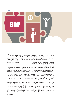

stagnation will become even narrower.

This ongoing implosion of Europe presents not only the known dangers – the loss of trade and investment opportunities for the rest of world as a whole – but also unknown dangers. We have not seen in a very long time a prolonged stagnation of a high-income economy extending over a whole continent.

#### **America**

What came to be called the "Great Productivity Slowdown" appeared in America in the late 1960s. The annual growth rate of Total Factor Productivity, the productivity of labor and capital combined, after running at an average rate of 2 percent since 1922, slowed by 1972 to an average of 1 percent ever since. Americans, including me, had no idea how disastrous this would prove to be.

The only plausible explanation for this slowdown is that the rate of aggregate innovation in the American economy fell in the 1960s and has remained low. On Wall Street, this interpretation is resisted. "Don't you know," they say, "that Silicon Valley in California and Route 128 in Massachusetts have been prodigiously innovative?" The misunderstanding is resolved by noting that innovation has declined sharply in the older industries, which are found mostly in the heartland of America – in the interior of the country. Silicon Valley and Route 128 are still not big enough to offset a near-disappearance of innovation over most of the economy. The entrepreneur and angel investor Peter Thiel, who has a deep knowledge of Silicon Valley, believes that Silicon Valley is no longer radically innovative – it has been mainly engaged in elaborations of a few radical innovations in the past.

For the growth rate to be maintained, each year's innovation must be proportional to the current stock – while the stock is getting higher and higher. So maintaining the old growth rate constantly requires human imagination to be increasingly far-reaching. Yet America did it for more than 100 years.

What forces might have caused America such a large drop in the rate of growth in its stock of innovations? My book Mass Flourishing contains a lengthy discussion and here I will identify several of its hypotheses.

For widespread innovation in a nation the people must have the "dynamism" required to spark it. I suppose young Americans are still growing up with an undiminished "desire" to innovate – to conceive the new and to make a difference in the world. However, it appears from interviews and surveys that a great many young people who would have been expected to be aspiring innovators a generation ago are inhibited from pursuing such a life. American society has come to place less value on individual exploration and creativity. Family, friends and community put increased pressure on the individual not to break away or to stand apart. The rush to sever ties and "go west" to take part in its development would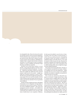be unimaginable today. Money has become the metric for assessing a person's success and main satisfactions: Parents and spouse urge a young person to opt for high pay and job security rather than to embrace uncertainty and to journey into the unknown. Pathological materialism leads to rampant short-termism in business and finance. No wonder people who grew up hoping to embark on a career of challenge and adventure forget this dream and drift into a lesser life.

Questions can be raised about whether, in recent decades, young people throughout American society have possessed the intellectual equipment – the capacity – required for innovating. In general, an innovator had to have insights into whether the newly conceived product would succeed in the market – insights typically born of business experience as well as "talent." The baby boom generation brought into the labor force many people who were much less familiar with the world of business than the people of the previous generation and much less interested. The new generation may be different.

Societies must give aspiring innovators wide latitude if innovation is to be widespread. Yet huge blocks to innovation have been erected in America. Vested interests, such as established companies – their owners, the management and the work force – feel entitled to be defended against the competition that new innovators would bring and to bailouts in the event they suffer losses of market share to new competitors. Politicians, for their part, feel entitled to curry the favor of interest groups. This is the culture of social protection. A result is that any aspiring innovator contemplating an attempt to bring a new product or method to an established industry will realize that he or she would be doomed to failure because the state will protect the incumbent companies from losing their market share. In the past couple of years, some young giants in the so-called technology fields, such as Google, have begun to invade traditional industries.

The prospect for the foreseeable future, therefore, is a near-stagnation of productivity and wages, a deficiency of engaging work, and weak employment – similar to Europe, but not as severe as long as new industries, with their new products or methods, are conceived, developed and some are successful.

Now, in early 2015, America has achieved the semblance of a recovery. A rough recovery from a crisis is a natural result of a bulging shelf of new ideas still unexploited and the accumulation of retained profits waiting to be invested. Recent data put the unemployment rate at about the level of 1995-96 – after the recent recession and before the internet boom. We could even go as far as to say that a boom is going on – in the midst of long-term stagnation – thanks to the innovation called "fracking" and to the flight of capital from Europe and elsewhere, which has made it easier for investing and innovating to obtain finance. Yet labor force participation has plumbed new depths, growth of